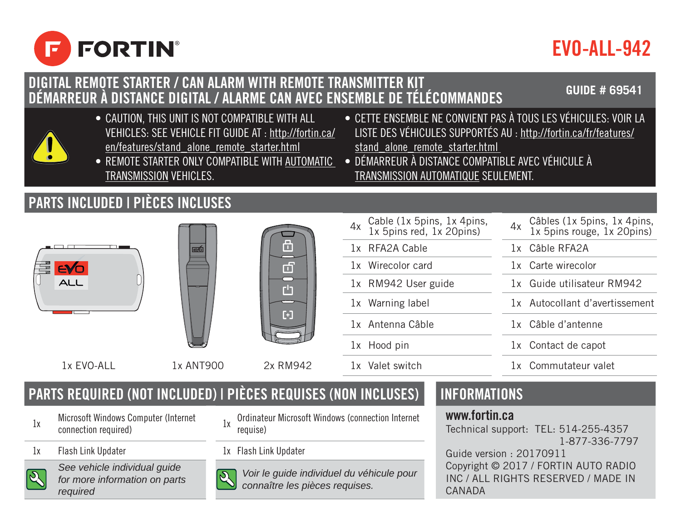

# EVO-ALL-942

## **DIGITAL REMOTE STARTER / CAN ALARM WITH REMOTE TRANSMITTER KIT DÉMARREUR À DISTANCE DIGITAL / ALARME CAN AVEC ENSEMBLE DE TÉLÉCOMMANDES GUIDE # 69541**

- CAUTION, THIS UNIT IS NOT COMPATIBLE WITH ALL VEHICLES: SEE VEHICLE FIT GUIDE AT : http://fortin.ca/ en/features/stand\_alone\_remote\_starter.html
- REMOTE STARTER ONLY COMPATIBLE WITH AUTOMATIC TRANSMISSION VEHICLES.
- CETTE ENSEMBLE NE CONVIENT PAS À TOUS LES VÉHICULES: VOIR LA LISTE DES VÉHICULES SUPPORTÉS AU : http://fortin.ca/fr/features/ stand alone remote starter.html
- DÉMARREUR À DISTANCE COMPATIBLE AVEC VÉHICULE À TRANSMISSION AUTOMATIQUE SEULEMENT.

## **PARTS INCLUDED | PIÈCES INCLUSES**







1x Wirecolor card 1x Carte wirecolor 1x RM942 User guide 1x Guide utilisateur RM942 1x Warning label 1x Autocollant d'avertissement 1x Antenna Câble 1x Câble d'antenne 1x Hood pin 1x Contact de capot 1x EVO-ALL 1x ANT900 2x RM942 1x Valet switch 1x Commutateur valet

4x Cable (1x 5pins, 1x 4pins, 1x 5pins red, 1x 20pins)

Cable (1x 5pins, 1x 4pins, 4x Câbles (1x 5pins, 1x 4pins, 1x 5pins)<br>1x 5pins red, 1x 20pins) 4x 1x 5pins rouge, 1x 20pins) 1x RFA2A Cable 1x Câble RFA2A

## **PARTS REQUIRED (NOT INCLUDED) | PIÈCES REQUISES (NON INCLUSES)** | INFORMATIONS

- 1x Microsoft Windows Computer (Internet<br>connection required)
- 1x Flash Link Updater 1x Flash Link Updater



*See vehicle individual guide for more information on parts required*

- 1x Ordinateur Microsoft Windows (connection Internet requise)
- 



*Voir le guide individuel du véhicule pour connaître les pièces requises.*

### www.fortin.ca

Technical support: TEL: 514-255-4357 1-877-336-7797

Guide version : 20170911 Copyright © 2017 / FORTIN AUTO RADIO INC / ALL RIGHTS RESERVED / MADE IN CANADA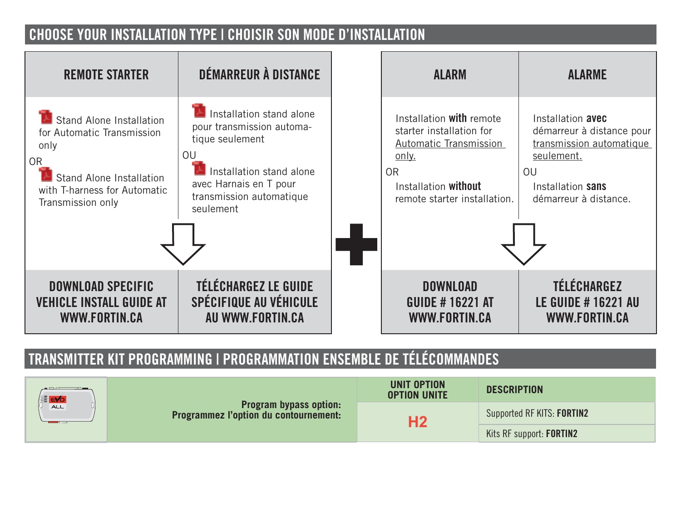## **CHOOSE YOUR INSTALLATION TYPE | CHOISIR SON MODE D'INSTALLATION**



## **TRANSMITTER KIT PROGRAMMING | PROGRAMMATION ENSEMBLE DE TÉLÉCOMMANDES**

| 를 <mark>EYO</mark><br>ALL | <b>Program bypass option:</b><br>Programmez l'option du contournement: | UNIT OPTION<br><b>OPTION UNITE</b> | <b>DESCRIPTION</b>         |
|---------------------------|------------------------------------------------------------------------|------------------------------------|----------------------------|
|                           |                                                                        | Н2                                 | Supported RF KITS: FORTIN2 |
|                           |                                                                        |                                    | Kits RF support: FORTIN2   |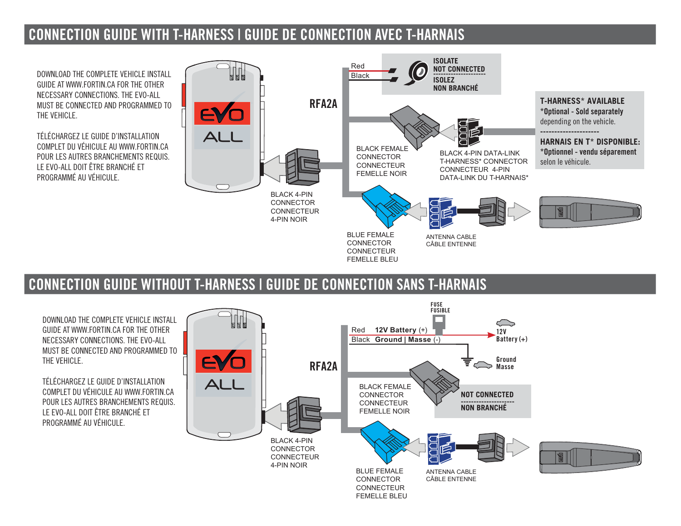## **CONNECTION GUIDE WITH T-HARNESS | GUIDE DE CONNECTION AVEC T-HARNAIS**

DOWNLOAD THE COMPLETE VEHICLE INSTALL GUIDE AT WWW.FORTIN.CA FOR THE OTHER NECESSARY CONNECTIONS. THE EVO-ALL MUST BE CONNECTED AND PROGRAMMED TO THE VEHICLE.

TÉLÉCHARGEZ LE GUIDE D'INSTALLATION COMPLET DU VÉHICULE AU WWW.FORTIN.CA POUR LES AUTRES BRANCHEMENTS REQUIS. LE EVO-ALL DOIT ÊTRE BRANCHÉ ET PROGRAMMÉ AU VÉHICULE



## **CONNECTION GUIDE WITHOUT T-HARNESS | GUIDE DE CONNECTION SANS T-HARNAIS**